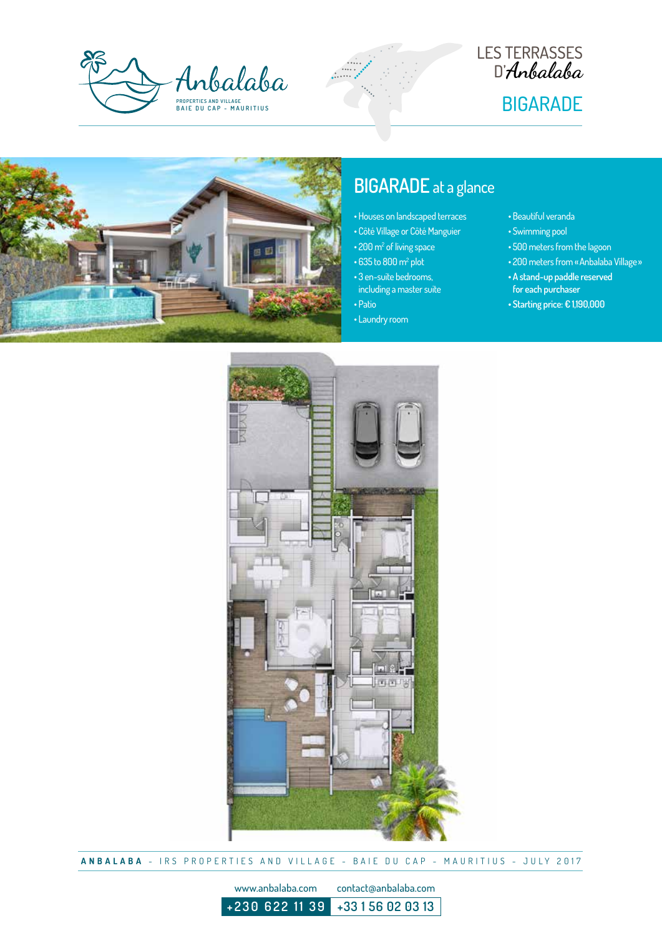







## **BIGARADE** at a glance

- Houses on landscaped terraces
- Côté Village or Côté Manguier
- 200 m<sup>2</sup> of living space
- 
- including a master suite
- 
- Laundry room
- Beautiful veranda
- Swimming pool
- 
- $\cdot$  635 to 800 m<sup>2</sup> plot
- 3 en-suite bedrooms,
- Patio
- 
- 
- 500 meters from the lagoon
- 200 meters from «Anbalaba Village»
- **A stand-up paddle reserved for each purchaser**
- **Starting price: € 1,190,000**



**ANBALABA** - IRS PROPERTIES AND VILLAGE - BAIE DU CAP - MAURITIUS - JULY 2017

www.anbalaba.com contact@anbalaba.com

**+230 622 11 39 +33 1 56 02 03 13**